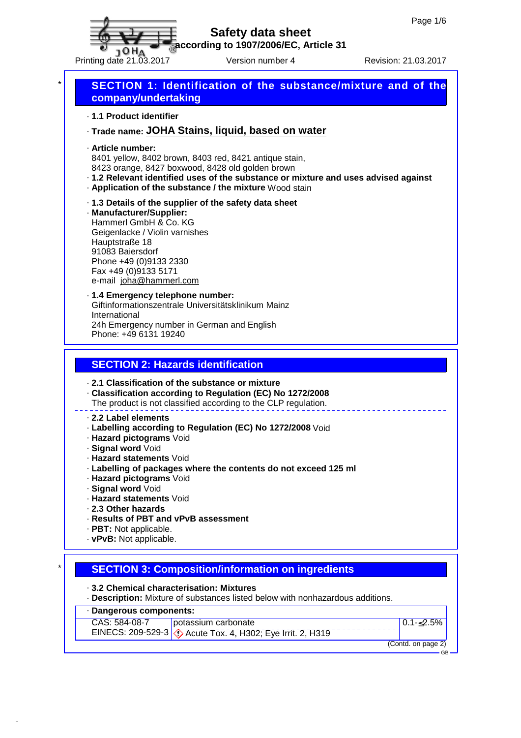

**according to 1907/2006/EC, Article 31**

Printing date 21.03.2017 Version number 4 Revision: 21.03.2017



· **Dangerous components:**

CAS: 584-08-7 EINECS: 209-529-3 Acute Tox. 4, H302; Eye Irrit. 2, H319 potassium carbonate

 $0.1 - £2.5%$ 

(Contd. on page 2) GB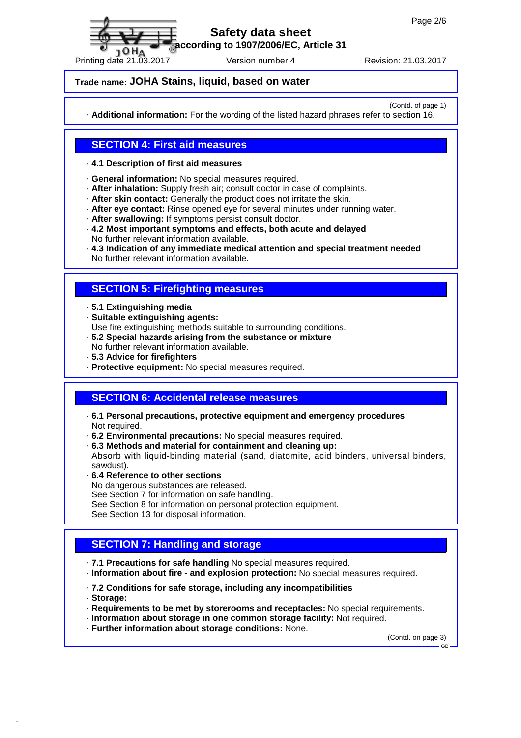**according to 1907/2006/EC, Article 31**

Printing date 21.03.2017 Version number 4 Revision: 21.03.2017

#### **Trade name: JOHA Stains, liquid, based on water**

(Contd. of page 1)

· **Additional information:** For the wording of the listed hazard phrases refer to section 16.

## **SECTION 4: First aid measures**

#### · **4.1 Description of first aid measures**

- · **General information:** No special measures required.
- · **After inhalation:** Supply fresh air; consult doctor in case of complaints.
- · **After skin contact:** Generally the product does not irritate the skin.
- · **After eye contact:** Rinse opened eye for several minutes under running water.
- · **After swallowing:** If symptoms persist consult doctor.
- · **4.2 Most important symptoms and effects, both acute and delayed** No further relevant information available.

· **4.3 Indication of any immediate medical attention and special treatment needed** No further relevant information available.

## **SECTION 5: Firefighting measures**

- · **5.1 Extinguishing media**
- · **Suitable extinguishing agents:**
- Use fire extinguishing methods suitable to surrounding conditions.
- · **5.2 Special hazards arising from the substance or mixture**
- No further relevant information available.
- · **5.3 Advice for firefighters**
- · **Protective equipment:** No special measures required.

#### **SECTION 6: Accidental release measures**

- · **6.1 Personal precautions, protective equipment and emergency procedures** Not required.
- · **6.2 Environmental precautions:** No special measures required.
- · **6.3 Methods and material for containment and cleaning up:**
- Absorb with liquid-binding material (sand, diatomite, acid binders, universal binders, sawdust).
- · **6.4 Reference to other sections**
- No dangerous substances are released.
- See Section 7 for information on safe handling.
- See Section 8 for information on personal protection equipment.
- See Section 13 for disposal information.

# **SECTION 7: Handling and storage**

- · **7.1 Precautions for safe handling** No special measures required.
- · **Information about fire and explosion protection:** No special measures required.
- · **7.2 Conditions for safe storage, including any incompatibilities**
- · **Storage:**
- · **Requirements to be met by storerooms and receptacles:** No special requirements.
- · **Information about storage in one common storage facility:** Not required.
- · **Further information about storage conditions:** None.

(Contd. on page 3)

 $CR$ 

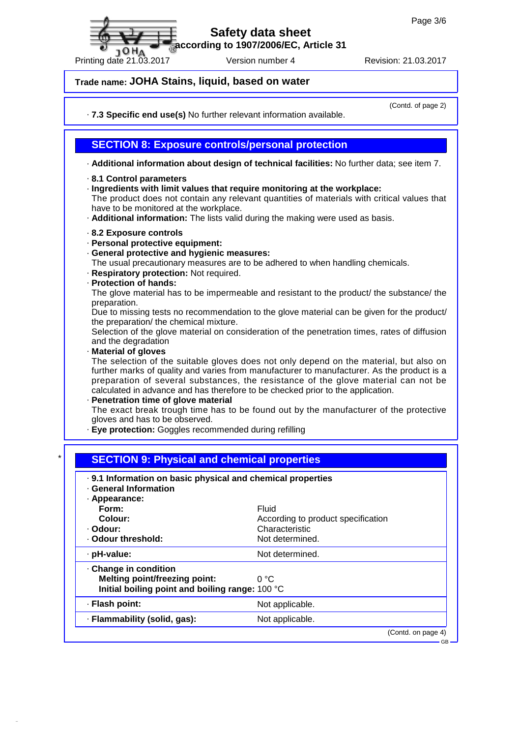**according to 1907/2006/EC, Article 31**

Printing date 21.03.2017 Version number 4 Revision: 21.03.2017

## **Trade name: JOHA Stains, liquid, based on water**

· **7.3 Specific end use(s)** No further relevant information available.

(Contd. of page 2)

#### **SECTION 8: Exposure controls/personal protection**

· **Additional information about design of technical facilities:** No further data; see item 7.

#### · **8.1 Control parameters**

10 H A

· **Ingredients with limit values that require monitoring at the workplace:**

The product does not contain any relevant quantities of materials with critical values that have to be monitored at the workplace.

- · **Additional information:** The lists valid during the making were used as basis.
- · **8.2 Exposure controls**
- · **Personal protective equipment:**
- · **General protective and hygienic measures:**
- The usual precautionary measures are to be adhered to when handling chemicals.
- · **Respiratory protection:** Not required.
- · **Protection of hands:**

The glove material has to be impermeable and resistant to the product/ the substance/ the preparation.

Due to missing tests no recommendation to the glove material can be given for the product/ the preparation/ the chemical mixture.

Selection of the glove material on consideration of the penetration times, rates of diffusion and the degradation

#### · **Material of gloves**

The selection of the suitable gloves does not only depend on the material, but also on further marks of quality and varies from manufacturer to manufacturer. As the product is a preparation of several substances, the resistance of the glove material can not be calculated in advance and has therefore to be checked prior to the application.

#### · **Penetration time of glove material**

The exact break trough time has to be found out by the manufacturer of the protective gloves and has to be observed.

· **Eye protection:** Goggles recommended during refilling

| <b>General Information</b>                      |                                    |
|-------------------------------------------------|------------------------------------|
| · Appearance:<br>Form:                          | Fluid                              |
| Colour:                                         | According to product specification |
| · Odour:                                        | Characteristic                     |
| · Odour threshold:                              | Not determined.                    |
| · pH-value:                                     | Not determined.                    |
| · Change in condition                           |                                    |
| <b>Melting point/freezing point:</b>            | 0 °C                               |
| Initial boiling point and boiling range: 100 °C |                                    |
| · Flash point:                                  | Not applicable.                    |
| · Flammability (solid, gas):                    | Not applicable.                    |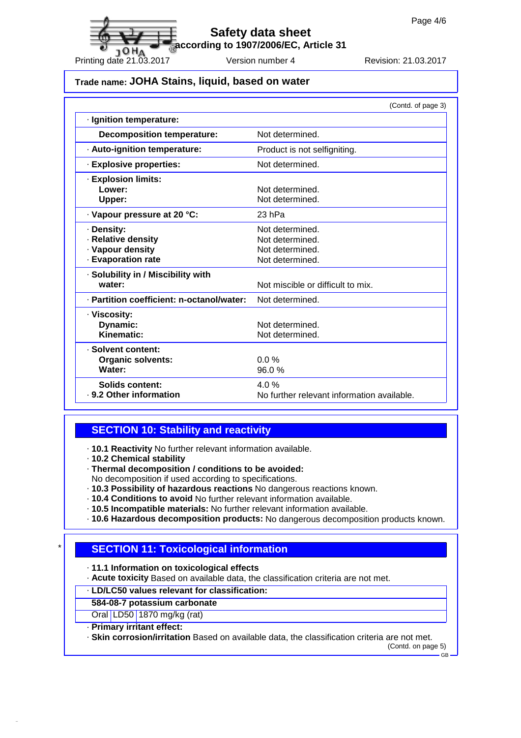**according to 1907/2006/EC, Article 31**

Printing date 21.03.2017 Version number 4 Revision: 21.03.2017

## **Trade name: JOHA Stains, liquid, based on water**

|                                                                            | (Contd. of page 3)                                                       |
|----------------------------------------------------------------------------|--------------------------------------------------------------------------|
| · Ignition temperature:                                                    |                                                                          |
| <b>Decomposition temperature:</b>                                          | Not determined                                                           |
| · Auto-ignition temperature:                                               | Product is not selfigniting.                                             |
| · Explosive properties:                                                    | Not determined.                                                          |
| · Explosion limits:<br>Lower:<br>Upper:                                    | Not determined.<br>Not determined.                                       |
| · Vapour pressure at 20 °C:                                                | 23 hPa                                                                   |
| · Density:<br>· Relative density<br>· Vapour density<br>· Evaporation rate | Not determined.<br>Not determined.<br>Not determined.<br>Not determined. |
| · Solubility in / Miscibility with<br>water:                               | Not miscible or difficult to mix.                                        |
| · Partition coefficient: n-octanol/water:                                  | Not determined.                                                          |
| · Viscosity:<br>Dynamic:<br>Kinematic:                                     | Not determined.<br>Not determined.                                       |
| · Solvent content:<br><b>Organic solvents:</b><br>Water:                   | 0.0%<br>96.0%                                                            |
| Solids content:<br>. 9.2 Other information                                 | 4.0%<br>No further relevant information available.                       |

#### **SECTION 10: Stability and reactivity**

- · **10.1 Reactivity** No further relevant information available.
- · **10.2 Chemical stability**
- · **Thermal decomposition / conditions to be avoided:**
- No decomposition if used according to specifications.
- · **10.3 Possibility of hazardous reactions** No dangerous reactions known.
- · **10.4 Conditions to avoid** No further relevant information available.
- · **10.5 Incompatible materials:** No further relevant information available.
- · **10.6 Hazardous decomposition products:** No dangerous decomposition products known.

# \* **SECTION 11: Toxicological information**

· **11.1 Information on toxicological effects**

· **Acute toxicity** Based on available data, the classification criteria are not met.

· **LD/LC50 values relevant for classification:**

- **584-08-7 potassium carbonate**
- Oral LD50 1870 mg/kg (rat)
- · **Primary irritant effect:**

· **Skin corrosion/irritation** Based on available data, the classification criteria are not met.

(Contd. on page 5) GB

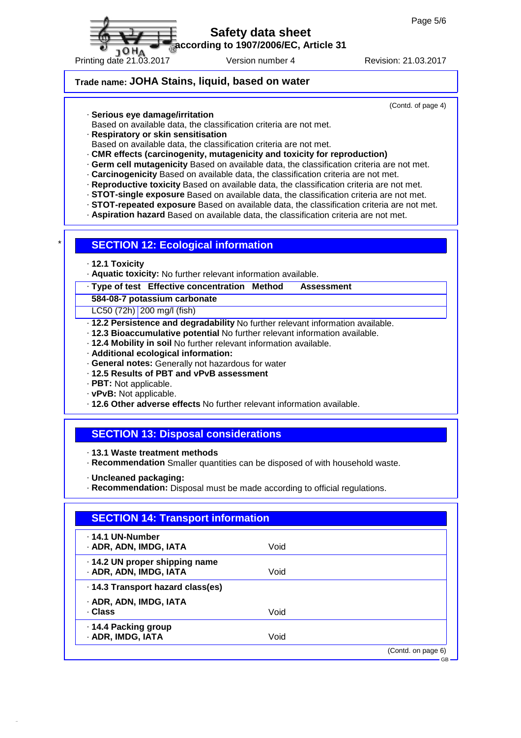

**according to 1907/2006/EC, Article 31**

Printing date 21.03.2017 Version number 4 Revision: 21.03.2017

## **Trade name: JOHA Stains, liquid, based on water**

(Contd. of page 4)

- · **Serious eye damage/irritation**
- Based on available data, the classification criteria are not met.
- · **Respiratory or skin sensitisation**
- Based on available data, the classification criteria are not met.
- · **CMR effects (carcinogenity, mutagenicity and toxicity for reproduction)**
- · **Germ cell mutagenicity** Based on available data, the classification criteria are not met.
- · **Carcinogenicity** Based on available data, the classification criteria are not met.
- · **Reproductive toxicity** Based on available data, the classification criteria are not met.
- · **STOT-single exposure** Based on available data, the classification criteria are not met.
- · **STOT-repeated exposure** Based on available data, the classification criteria are not met.
- · **Aspiration hazard** Based on available data, the classification criteria are not met.

#### **SECTION 12: Ecological information**

- · **12.1 Toxicity**
- · **Aquatic toxicity:** No further relevant information available.

#### · **Type of test Effective concentration Method Assessment**

**584-08-7 potassium carbonate**

LC50 (72h) 200 mg/l (fish)

- · **12.2 Persistence and degradability** No further relevant information available.
- · **12.3 Bioaccumulative potential** No further relevant information available.
- · **12.4 Mobility in soil** No further relevant information available.
- · **Additional ecological information:**
- · **General notes:** Generally not hazardous for water
- · **12.5 Results of PBT and vPvB assessment**
- · **PBT:** Not applicable.
- · **vPvB:** Not applicable.
- · **12.6 Other adverse effects** No further relevant information available.

## **SECTION 13: Disposal considerations**

· **13.1 Waste treatment methods**

- · **Recommendation** Smaller quantities can be disposed of with household waste.
- · **Uncleaned packaging:**
- · **Recommendation:** Disposal must be made according to official regulations.

| Void |                    |
|------|--------------------|
|      |                    |
| Void |                    |
|      |                    |
|      |                    |
| Void |                    |
|      |                    |
| Void |                    |
|      | (Contd. on page 6) |
|      |                    |